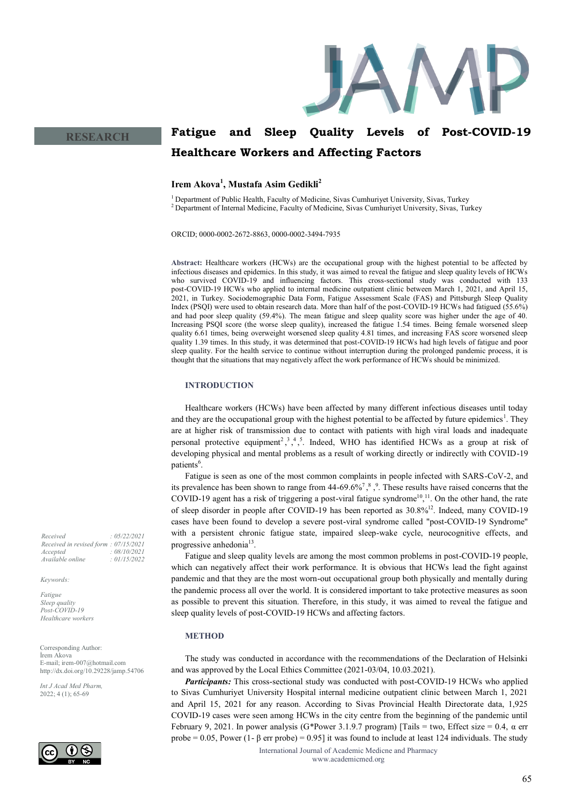

# **Fatigue and Sleep Quality Levels of Post-COVID-19 Healthcare Workers and Affecting Factors**

## **Irem Akova<sup>1</sup> , Mustafa Asim Gedikli<sup>2</sup>**

<sup>1</sup>Department of Public Health, Faculty of Medicine, Sivas Cumhuriyet University, Sivas, Turkey <sup>2</sup> Department of Internal Medicine, Faculty of Medicine, Sivas Cumhuriyet University, Sivas, Turkey

ORCID; 0000-0002-2672-8863, 0000-0002-3494-7935

**Abstract:** Healthcare workers (HCWs) are the occupational group with the highest potential to be affected by infectious diseases and epidemics. In this study, it was aimed to reveal the fatigue and sleep quality levels of HCWs who survived COVID-19 and influencing factors. This cross-sectional study was conducted with 133 post-COVID-19 HCWs who applied to internal medicine outpatient clinic between March 1, 2021, and April 15, 2021, in Turkey. Sociodemographic Data Form, Fatigue Assessment Scale (FAS) and Pittsburgh Sleep Quality Index (PSQI) were used to obtain research data. More than half of the post-COVID-19 HCWs had fatigued (55.6%) and had poor sleep quality (59.4%). The mean fatigue and sleep quality score was higher under the age of 40. Increasing PSQI score (the worse sleep quality), increased the fatigue 1.54 times. Being female worsened sleep quality 6.61 times, being overweight worsened sleep quality 4.81 times, and increasing FAS score worsened sleep quality 1.39 times. In this study, it was determined that post-COVID-19 HCWs had high levels of fatigue and poor sleep quality. For the health service to continue without interruption during the prolonged pandemic process, it is thought that the situations that may negatively affect the work performance of HCWs should be minimized.

## **INTRODUCTION**

Healthcare workers (HCWs) have been affected by many different infectious diseases until today and they are the occupational group with the highest potential to be affected by future epidemics<sup>1</sup>. They are at higher risk of transmission due to contact with patients with high viral loads and inadequate personal protective equipment<sup>2</sup>,<sup>3</sup>,<sup>4</sup>,<sup>5</sup>. Indeed, WHO has identified HCWs as a group at risk of developing physical and mental problems as a result of working directly or indirectly with COVID-19 patients<sup>6</sup>.

Fatigue is seen as one of the most common complaints in people infected with SARS-CoV-2, and its prevalence has been shown to range from  $44-69.6\%$ <sup>7</sup>,  $\frac{8}{3}$ . These results have raised concerns that the COVID-19 agent has a risk of triggering a post-viral fatigue syndrome<sup>10,11</sup>. On the other hand, the rate of sleep disorder in people after COVID-19 has been reported as  $30.8\%^{12}$ . Indeed, many COVID-19 cases have been found to develop a severe post-viral syndrome called "post-COVID-19 Syndrome" with a persistent chronic fatigue state, impaired sleep-wake cycle, neurocognitive effects, and progressive anhedonia<sup>13</sup>.

Fatigue and sleep quality levels are among the most common problems in post-COVID-19 people, which can negatively affect their work performance. It is obvious that HCWs lead the fight against pandemic and that they are the most worn-out occupational group both physically and mentally during the pandemic process all over the world. It is considered important to take protective measures as soon as possible to prevent this situation. Therefore, in this study, it was aimed to reveal the fatigue and sleep quality levels of post-COVID-19 HCWs and affecting factors.

## **METHOD**

The study was conducted in accordance with the recommendations of the Declaration of Helsinki and was approved by the Local Ethics Committee (2021-03/04, 10.03.2021).

*Participants:* This cross-sectional study was conducted with post-COVID-19 HCWs who applied to Sivas Cumhuriyet University Hospital internal medicine outpatient clinic between March 1, 2021 and April 15, 2021 for any reason. According to Sivas Provincial Health Directorate data, 1,925 COVID-19 cases were seen among HCWs in the city centre from the beginning of the pandemic until February 9, 2021. In power analysis (G\*Power 3.1.9.7 program) [Tails = two, Effect size = 0.4, α err probe = 0.05, Power (1- β err probe) = 0.95] it was found to include at least 124 individuals. The study

> International Journal of Academic Medicne and Pharmacy www.academicmed.org

**RESEARCH**

*Received : 05/22/2021 Received in revised form : 07/15/2021 Accepted : 08/10/2021 Available online : 01/15/2022*

*Keywords:*

*Fatigue Sleep quality Post-COVID-19 Healthcare workers*

Corresponding Author: İrem Akova E-mail; irem-007@hotmail.com http://dx.doi.org/10.29228/jamp.54706

*Int J Acad Med Pharm,* 2022; 4 (1); 65-69

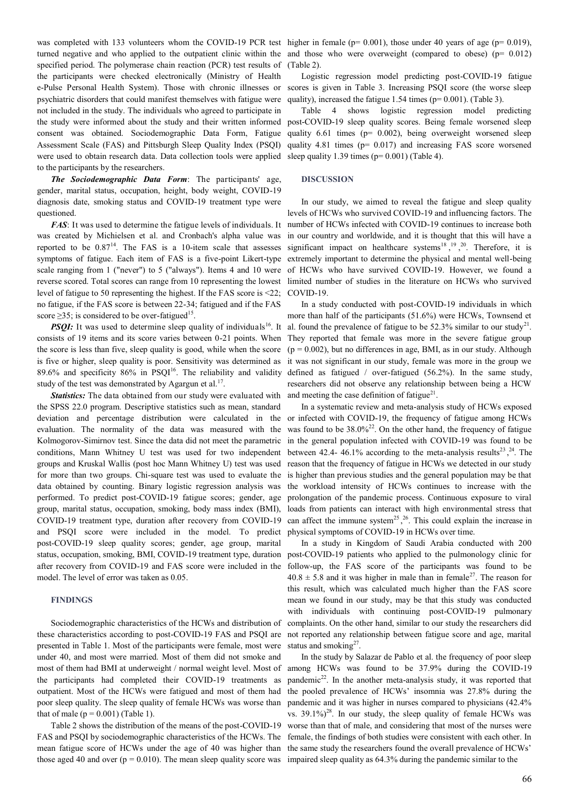turned negative and who applied to the outpatient clinic within the and those who were overweight (compared to obese) (p= 0.012) specified period. The polymerase chain reaction (PCR) test results of the participants were checked electronically (Ministry of Health e-Pulse Personal Health System). Those with chronic illnesses or psychiatric disorders that could manifest themselves with fatigue were not included in the study. The individuals who agreed to participate in the study were informed about the study and their written informed consent was obtained. Sociodemographic Data Form, Fatigue Assessment Scale (FAS) and Pittsburgh Sleep Quality Index (PSQI) were used to obtain research data. Data collection tools were applied to the participants by the researchers.

*The Sociodemographic Data Form*: The participants' age, gender, marital status, occupation, height, body weight, COVID-19 diagnosis date, smoking status and COVID-19 treatment type were questioned.

*FAS*: It was used to determine the fatigue levels of individuals. It was created by Michielsen et al. and Cronbach's alpha value was reported to be  $0.87<sup>14</sup>$ . The FAS is a 10-item scale that assesses symptoms of fatigue. Each item of FAS is a five-point Likert-type scale ranging from 1 ("never") to 5 ("always"). Items 4 and 10 were of HCWs who have survived COVID-19. However, we found a reverse scored. Total scores can range from 10 representing the lowest limited number of studies in the literature on HCWs who survived level of fatigue to 50 representing the highest. If the FAS score is <22; no fatigue, if the FAS score is between 22-34; fatigued and if the FAS score  $\geq$ 35; is considered to be over-fatigued<sup>15</sup>.

*PSQI:* It was used to determine sleep quality of individuals<sup>16</sup>. It consists of 19 items and its score varies between 0-21 points. When the score is less than five, sleep quality is good, while when the score is five or higher, sleep quality is poor. Sensitivity was determined as 89.6% and specificity 86% in PSQI $^{16}$ . The reliability and validity study of the test was demonstrated by Agargun et al.<sup>17</sup>.

*Statistics:* The data obtained from our study were evaluated with the SPSS 22.0 program. Descriptive statistics such as mean, standard deviation and percentage distribution were calculated in the evaluation. The normality of the data was measured with the Kolmogorov-Simirnov test. Since the data did not meet the parametric conditions, Mann Whitney U test was used for two independent groups and Kruskal Wallis (post hoc Mann Whitney U) test was used for more than two groups. Chi-square test was used to evaluate the data obtained by counting. Binary logistic regression analysis was performed. To predict post-COVID-19 fatigue scores; gender, age group, marital status, occupation, smoking, body mass index (BMI), COVID-19 treatment type, duration after recovery from COVID-19 and PSQI score were included in the model. To predict post-COVID-19 sleep quality scores; gender, age group, marital status, occupation, smoking, BMI, COVID-19 treatment type, duration after recovery from COVID-19 and FAS score were included in the model. The level of error was taken as 0.05.

### **FINDINGS**

Sociodemographic characteristics of the HCWs and distribution of these characteristics according to post-COVID-19 FAS and PSQI are presented in Table 1. Most of the participants were female, most were under 40, and most were married. Most of them did not smoke and most of them had BMI at underweight / normal weight level. Most of the participants had completed their COVID-19 treatments as outpatient. Most of the HCWs were fatigued and most of them had poor sleep quality. The sleep quality of female HCWs was worse than that of male  $(p = 0.001)$  (Table 1).

Table 2 shows the distribution of the means of the post-COVID-19 FAS and PSQI by sociodemographic characteristics of the HCWs. The mean fatigue score of HCWs under the age of 40 was higher than those aged 40 and over ( $p = 0.010$ ). The mean sleep quality score was

was completed with 133 volunteers whom the COVID-19 PCR test higher in female ( $p= 0.001$ ), those under 40 years of age ( $p= 0.019$ ), (Table 2).

> Logistic regression model predicting post-COVID-19 fatigue scores is given in Table 3. Increasing PSQI score (the worse sleep quality), increased the fatigue 1.54 times ( $p= 0.001$ ). (Table 3).

> Table 4 shows logistic regression model predicting post-COVID-19 sleep quality scores. Being female worsened sleep quality 6.61 times (p= 0.002), being overweight worsened sleep quality 4.81 times (p= 0.017) and increasing FAS score worsened sleep quality 1.39 times ( $p= 0.001$ ) (Table 4).

#### **DISCUSSION**

In our study, we aimed to reveal the fatigue and sleep quality levels of HCWs who survived COVID-19 and influencing factors. The number of HCWs infected with COVID-19 continues to increase both in our country and worldwide, and it is thought that this will have a significant impact on healthcare systems<sup>18</sup>,<sup>19</sup>,<sup>20</sup>. Therefore, it is extremely important to determine the physical and mental well-being COVID-19.

In a study conducted with post-COVID-19 individuals in which more than half of the participants (51.6%) were HCWs, Townsend et al. found the prevalence of fatigue to be  $52.3\%$  similar to our study<sup>21</sup>. They reported that female was more in the severe fatigue group  $(p = 0.002)$ , but no differences in age, BMI, as in our study. Although it was not significant in our study, female was more in the group we defined as fatigued / over-fatigued (56.2%). In the same study, researchers did not observe any relationship between being a HCW and meeting the case definition of fatigue $21$ .

In a systematic review and meta-analysis study of HCWs exposed or infected with COVID-19, the frequency of fatigue among HCWs was found to be  $38.0\%^{22}$ . On the other hand, the frequency of fatigue in the general population infected with COVID-19 was found to be between 42.4- 46.1% according to the meta-analysis results<sup>23</sup>,<sup>24</sup>. The reason that the frequency of fatigue in HCWs we detected in our study is higher than previous studies and the general population may be that the workload intensity of HCWs continues to increase with the prolongation of the pandemic process. Continuous exposure to viral loads from patients can interact with high environmental stress that can affect the immune system<sup>25</sup>,<sup>26</sup>. This could explain the increase in physical symptoms of COVID-19 in HCWs over time.

In a study in Kingdom of Saudi Arabia conducted with 200 post-COVID-19 patients who applied to the pulmonology clinic for follow-up, the FAS score of the participants was found to be  $40.8 \pm 5.8$  and it was higher in male than in female<sup>27</sup>. The reason for this result, which was calculated much higher than the FAS score mean we found in our study, may be that this study was conducted with individuals with continuing post-COVID-19 pulmonary complaints. On the other hand, similar to our study the researchers did not reported any relationship between fatigue score and age, marital status and smoking $27$ .

In the study by Salazar de Pablo et al. the frequency of poor sleep among HCWs was found to be 37.9% during the COVID-19 pandemic<sup>22</sup>. In the another meta-analysis study, it was reported that the pooled prevalence of HCWs' insomnia was 27.8% during the pandemic and it was higher in nurses compared to physicians (42.4% vs.  $39.1\%$ <sup>28</sup>. In our study, the sleep quality of female HCWs was worse than that of male, and considering that most of the nurses were female, the findings of both studies were consistent with each other. In the same study the researchers found the overall prevalence of HCWs' impaired sleep quality as 64.3% during the pandemic similar to the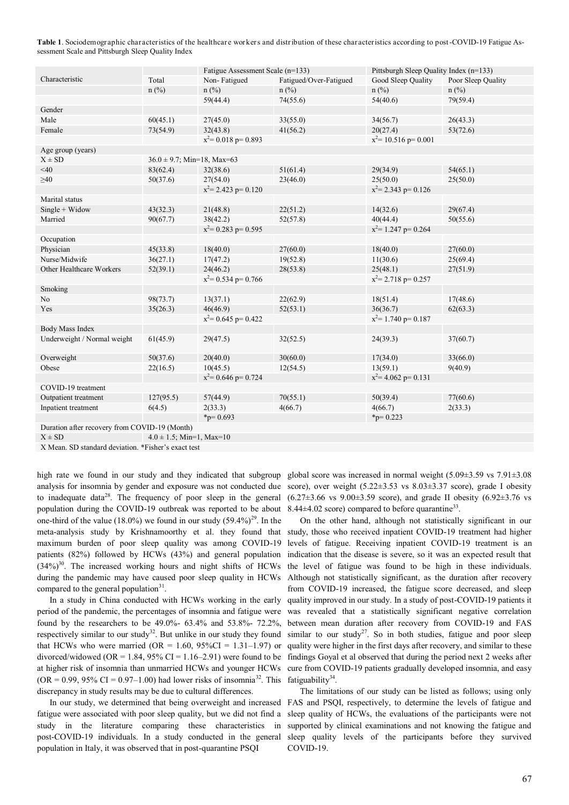**Table 1**. Sociodemographic characteristics of the healthcare workers and distribution of these characteristics according to post-COVID-19 Fatigue Assessment Scale and Pittsburgh Sleep Quality Index

|                                               |                                 | Fatigue Assessment Scale (n=133)                    |                        | Pittsburgh Sleep Quality Index (n=133) |                    |
|-----------------------------------------------|---------------------------------|-----------------------------------------------------|------------------------|----------------------------------------|--------------------|
| Characteristic                                | Total                           | Non-Fatigued                                        | Fatigued/Over-Fatigued | Good Sleep Quality                     | Poor Sleep Quality |
|                                               | $n$ (%)                         | $n$ (%)                                             | $n$ (%)                | $n$ (%)                                | $n$ (%)            |
|                                               |                                 | 59(44.4)                                            | 74(55.6)               | 54(40.6)                               | 79(59.4)           |
| Gender                                        |                                 |                                                     |                        |                                        |                    |
| Male                                          | 60(45.1)                        | 27(45.0)                                            | 33(55.0)               | 34(56.7)                               | 26(43.3)           |
| Female                                        | 73(54.9)                        | 32(43.8)                                            | 41(56.2)               | 20(27.4)                               | 53(72.6)           |
|                                               |                                 | $x^2$ = 0.018 p = 0.893<br>$x^2$ = 10.516 p = 0.001 |                        |                                        |                    |
| Age group (years)                             |                                 |                                                     |                        |                                        |                    |
| $X \pm SD$                                    | $36.0 \pm 9.7$ ; Min=18, Max=63 |                                                     |                        |                                        |                    |
| <40                                           | 83(62.4)                        | 32(38.6)                                            | 51(61.4)               | 29(34.9)                               | 54(65.1)           |
| $\geq 40$                                     | 50(37.6)                        | 27(54.0)                                            | 23(46.0)               | 25(50.0)                               | 25(50.0)           |
|                                               |                                 | $x^2$ = 2.423 p = 0.120<br>$x^2$ = 2.343 p= 0.126   |                        |                                        |                    |
| Marital status                                |                                 |                                                     |                        |                                        |                    |
| $Single + Widow$                              | 43(32.3)                        | 21(48.8)                                            | 22(51.2)               | 14(32.6)                               | 29(67.4)           |
| Married                                       | 90(67.7)                        | 38(42.2)                                            | 52(57.8)               | 40(44.4)                               | 50(55.6)           |
|                                               |                                 | $x^2$ = 0.283 p = 0.595                             |                        | $x^2$ = 1.247 p = 0.264                |                    |
| Occupation                                    |                                 |                                                     |                        |                                        |                    |
| Physician                                     | 45(33.8)                        | 18(40.0)                                            | 27(60.0)               | 18(40.0)                               | 27(60.0)           |
| Nurse/Midwife                                 | 36(27.1)                        | 17(47.2)                                            | 19(52.8)               | 11(30.6)                               | 25(69.4)           |
| Other Healthcare Workers                      | 52(39.1)                        | 24(46.2)                                            | 28(53.8)               | 25(48.1)                               | 27(51.9)           |
|                                               |                                 | $x^2$ = 0.534 p = 0.766                             |                        | $x^2$ = 2.718 p = 0.257                |                    |
| Smoking                                       |                                 |                                                     |                        |                                        |                    |
| N <sub>o</sub>                                | 98(73.7)                        | 13(37.1)                                            | 22(62.9)               | 18(51.4)                               | 17(48.6)           |
| Yes                                           | 35(26.3)                        | 46(46.9)                                            | 52(53.1)               | 36(36.7)                               | 62(63.3)           |
|                                               |                                 | $x^2$ = 0.645 p = 0.422                             |                        | $x^2$ = 1.740 p = 0.187                |                    |
| <b>Body Mass Index</b>                        |                                 |                                                     |                        |                                        |                    |
| Underweight / Normal weight                   | 61(45.9)                        | 29(47.5)                                            | 32(52.5)               | 24(39.3)                               | 37(60.7)           |
| Overweight                                    | 50(37.6)                        | 20(40.0)                                            | 30(60.0)               | 17(34.0)                               | 33(66.0)           |
| Obese                                         | 22(16.5)                        | 10(45.5)                                            | 12(54.5)               | 13(59.1)                               | 9(40.9)            |
|                                               |                                 | $x^2$ = 0.646 p = 0.724                             |                        | $x^2$ = 4.062 p = 0.131                |                    |
| COVID-19 treatment                            |                                 |                                                     |                        |                                        |                    |
| Outpatient treatment                          | 127(95.5)                       | 57(44.9)                                            | 70(55.1)               | 50(39.4)                               | 77(60.6)           |
| Inpatient treatment                           | 6(4.5)                          | 2(33.3)                                             | 4(66.7)                | 4(66.7)                                | 2(33.3)            |
|                                               |                                 | * $p = 0.693$                                       |                        | $_{\text{p}=0.223}$                    |                    |
| Duration after recovery from COVID-19 (Month) |                                 |                                                     |                        |                                        |                    |

 $X \pm SD$   $4.0 \pm 1.5$ ; Min=1, Max=10

X Mean. SD standard deviation. \*Fisher's exact test

high rate we found in our study and they indicated that subgroup to inadequate data<sup>28</sup>. The frequency of poor sleep in the general population during the COVID-19 outbreak was reported to be about one-third of the value (18.0%) we found in our study  $(59.4\%)^{29}$ . In the meta-analysis study by Krishnamoorthy et al. they found that maximum burden of poor sleep quality was among COVID-19 patients (82%) followed by HCWs (43%) and general population  $(34\%)$ <sup>30</sup>. The increased working hours and night shifts of HCWs during the pandemic may have caused poor sleep quality in HCWs compared to the general population $31$ .

In a study in China conducted with HCWs working in the early period of the pandemic, the percentages of insomnia and fatigue were found by the researchers to be 49.0%- 63.4% and 53.8%- 72.2%, respectively similar to our study<sup>32</sup>. But unlike in our study they found  $(OR = 0.99, 95\% \text{ CI} = 0.97-1.00)$  had lower risks of insomnia<sup>32</sup>. This fatiguability<sup>34</sup>. discrepancy in study results may be due to cultural differences.

fatigue were associated with poor sleep quality, but we did not find a study in the literature comparing these characteristics in post-COVID-19 individuals. In a study conducted in the general population in Italy, it was observed that in post-quarantine PSQI

analysis for insomnia by gender and exposure was not conducted due score), over weight  $(5.22\pm3.53 \text{ vs } 8.03\pm3.37 \text{ score})$ , grade I obesity global score was increased in normal weight  $(5.09\pm3.59 \text{ vs } 7.91\pm3.08$  $(6.27\pm3.66 \text{ vs } 9.00\pm3.59 \text{ score})$ , and grade II obesity  $(6.92\pm3.76 \text{ vs } 9.00\pm3.59 \text{ score})$  $8.44\pm4.02$  score) compared to before quarantine<sup>33</sup>.

that HCWs who were married (OR =  $1.60$ , 95%CI =  $1.31-1.97$ ) or quality were higher in the first days after recovery, and similar to these divorced/widowed (OR = 1.84, 95% CI = 1.16–2.91) were found to be findings Goyal et al observed that during the period next 2 weeks after at higher risk of insomnia than unmarried HCWs and younger HCWs cure from COVID-19 patients gradually developed insomnia, and easy On the other hand, although not statistically significant in our study, those who received inpatient COVID-19 treatment had higher levels of fatigue. Receiving inpatient COVID-19 treatment is an indication that the disease is severe, so it was an expected result that the level of fatigue was found to be high in these individuals. Although not statistically significant, as the duration after recovery from COVID-19 increased, the fatigue score decreased, and sleep quality improved in our study. In a study of post-COVID-19 patients it was revealed that a statistically significant negative correlation between mean duration after recovery from COVID-19 and FAS similar to our study<sup>27</sup>. So in both studies, fatigue and poor sleep

In our study, we determined that being overweight and increased FAS and PSQI, respectively, to determine the levels of fatigue and The limitations of our study can be listed as follows; using only sleep quality of HCWs, the evaluations of the participants were not supported by clinical examinations and not knowing the fatigue and sleep quality levels of the participants before they survived COVID-19.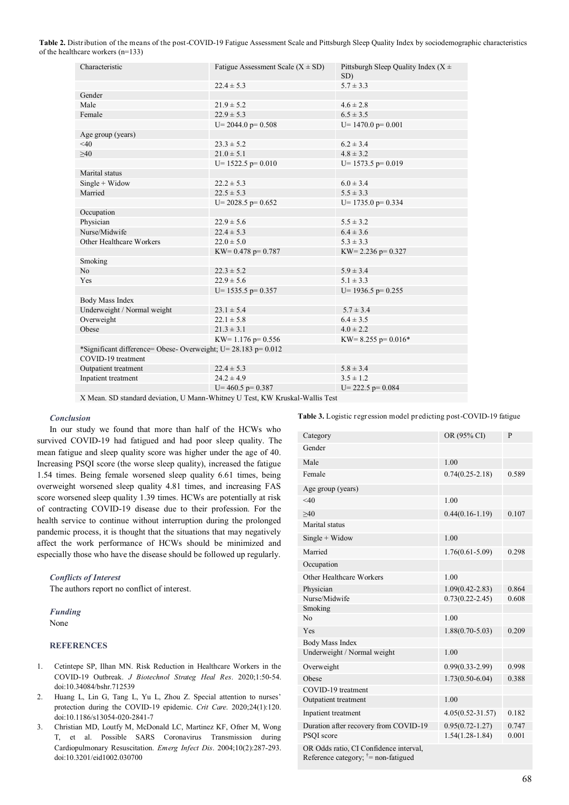**Table 2.** Distribution of the means of the post-COVID-19 Fatigue Assessment Scale and Pittsburgh Sleep Quality Index by sociodemographic characteristics of the healthcare workers (n=133)

| Characteristic                                                 | Fatigue Assessment Scale $(X \pm SD)$ | Pittsburgh Sleep Quality Index ( $X \pm$<br>SD) |
|----------------------------------------------------------------|---------------------------------------|-------------------------------------------------|
|                                                                | $22.4 \pm 5.3$                        | $5.7 \pm 3.3$                                   |
| Gender                                                         |                                       |                                                 |
| Male                                                           | $21.9 \pm 5.2$                        | $4.6 \pm 2.8$                                   |
| Female                                                         | $22.9 \pm 5.3$                        | $6.5 \pm 3.5$                                   |
|                                                                | $U = 2044.0$ p= 0.508                 | $U=1470.0$ p= 0.001                             |
| Age group (years)                                              |                                       |                                                 |
| $<$ 40                                                         | $23.3 \pm 5.2$                        | $6.2 \pm 3.4$                                   |
| >40                                                            | $21.0 \pm 5.1$                        | $4.8 \pm 3.2$                                   |
|                                                                | $U=1522.5$ p= 0.010                   | $U=1573.5$ p= 0.019                             |
| Marital status                                                 |                                       |                                                 |
| $Single + Widow$                                               | $22.2 \pm 5.3$                        | $6.0 \pm 3.4$                                   |
| Married                                                        | $22.5 \pm 5.3$                        | $5.5 \pm 3.3$                                   |
|                                                                | $U = 2028.5$ p= 0.652                 | $U=1735.0$ p= 0.334                             |
| Occupation                                                     |                                       |                                                 |
| Physician                                                      | $22.9 \pm 5.6$                        | $5.5 \pm 3.2$                                   |
| Nurse/Midwife                                                  | $22.4 \pm 5.3$                        | $6.4 \pm 3.6$                                   |
| Other Healthcare Workers                                       | $22.0 \pm 5.0$                        | $5.3 \pm 3.3$                                   |
|                                                                | KW= $0.478$ p= $0.787$                | KW= 2.236 p= $0.327$                            |
| Smoking                                                        |                                       |                                                 |
| N <sub>0</sub>                                                 | $22.3 \pm 5.2$                        | $5.9 \pm 3.4$                                   |
| Yes                                                            | $22.9 \pm 5.6$                        | $5.1 \pm 3.3$                                   |
|                                                                | $U=$ 1535.5 p= 0.357                  | $U=1936.5$ p= 0.255                             |
| Body Mass Index                                                |                                       |                                                 |
| Underweight / Normal weight                                    | $23.1 \pm 5.4$                        | $5.7 \pm 3.4$                                   |
| Overweight                                                     | $22.1 \pm 5.8$                        | $6.4 \pm 3.5$                                   |
| Obese                                                          | $21.3 \pm 3.1$                        | $4.0 \pm 2.2$                                   |
|                                                                | KW= $1.176$ p= 0.556                  | KW= 8.255 p= $0.016*$                           |
| *Significant difference= Obese- Overweight; U= 28.183 p= 0.012 |                                       |                                                 |
| COVID-19 treatment                                             |                                       |                                                 |
| Outpatient treatment                                           | $22.4 \pm 5.3$                        | $5.8 \pm 3.4$                                   |
| Inpatient treatment                                            | $24.2 \pm 4.9$                        | $3.5 \pm 1.2$                                   |
|                                                                | $U = 460.5$ p= 0.387                  | $U = 222.5$ p= 0.084                            |
|                                                                |                                       |                                                 |

X Mean. SD standard deviation, U Mann-Whitney U Test, KW Kruskal-Wallis Test

#### *Conclusion*

In our study we found that more than half of the HCWs who survived COVID-19 had fatigued and had poor sleep quality. The mean fatigue and sleep quality score was higher under the age of 40. Increasing PSQI score (the worse sleep quality), increased the fatigue 1.54 times. Being female worsened sleep quality 6.61 times, being overweight worsened sleep quality 4.81 times, and increasing FAS score worsened sleep quality 1.39 times. HCWs are potentially at risk of contracting COVID-19 disease due to their profession. For the health service to continue without interruption during the prolonged pandemic process, it is thought that the situations that may negatively affect the work performance of HCWs should be minimized and especially those who have the disease should be followed up regularly.

#### *Conflicts of Interest*

The authors report no conflict of interest.

## *Funding*

None

## **REFERENCES**

- 1. Cetintepe SP, Ilhan MN. Risk Reduction in Healthcare Workers in the COVID-19 Outbreak. *J Biotechnol Strateg Heal Res*. 2020;1:50-54. doi:10.34084/bshr.712539
- 2. Huang L, Lin G, Tang L, Yu L, Zhou Z. Special attention to nurses' protection during the COVID-19 epidemic. *Crit Care*. 2020;24(1):120. doi:10.1186/s13054-020-2841-7
- 3. Christian MD, Loutfy M, McDonald LC, Martinez KF, Ofner M, Wong T, et al. Possible SARS Coronavirus Transmission during Cardiopulmonary Resuscitation. *Emerg Infect Dis*. 2004;10(2):287-293. doi:10.3201/eid1002.030700

**Table 3.** Logistic regression model predicting post-COVID-19 fatigue

| Category                               | OR (95% CI)          | P     |
|----------------------------------------|----------------------|-------|
| Gender                                 |                      |       |
| Male                                   | 1.00                 |       |
| Female                                 | $0.74(0.25 - 2.18)$  | 0.589 |
| Age group (years)                      |                      |       |
| $<$ 40                                 | 1.00                 |       |
| >40                                    | $0.44(0.16 - 1.19)$  | 0.107 |
| Marital status                         |                      |       |
| $Single + Widow$                       | 1.00                 |       |
| Married                                | $1.76(0.61 - 5.09)$  | 0.298 |
| Occupation                             |                      |       |
| Other Healthcare Workers               | 1.00                 |       |
| Physician                              | $1.09(0.42 - 2.83)$  | 0.864 |
| Nurse/Midwife                          | $0.73(0.22 - 2.45)$  | 0.608 |
| Smoking                                |                      |       |
| N <sub>0</sub>                         | 1.00                 |       |
| Yes                                    | $1.88(0.70 - 5.03)$  | 0.209 |
| <b>Body Mass Index</b>                 |                      |       |
| Underweight / Normal weight            | 1.00                 |       |
| Overweight                             | $0.99(0.33 - 2.99)$  | 0.998 |
| Obese                                  | $1.73(0.50-6.04)$    | 0.388 |
| COVID-19 treatment                     |                      |       |
| Outpatient treatment                   | 1.00                 |       |
| Inpatient treatment                    | $4.05(0.52 - 31.57)$ | 0.182 |
| Duration after recovery from COVID-19  | $0.95(0.72 - 1.27)$  | 0.747 |
| PSQI score                             | $1.54(1.28-1.84)$    | 0.001 |
| OR Odds ratio, CI Confidence interval, |                      |       |

Reference category;  $\dagger$  = non-fatigued